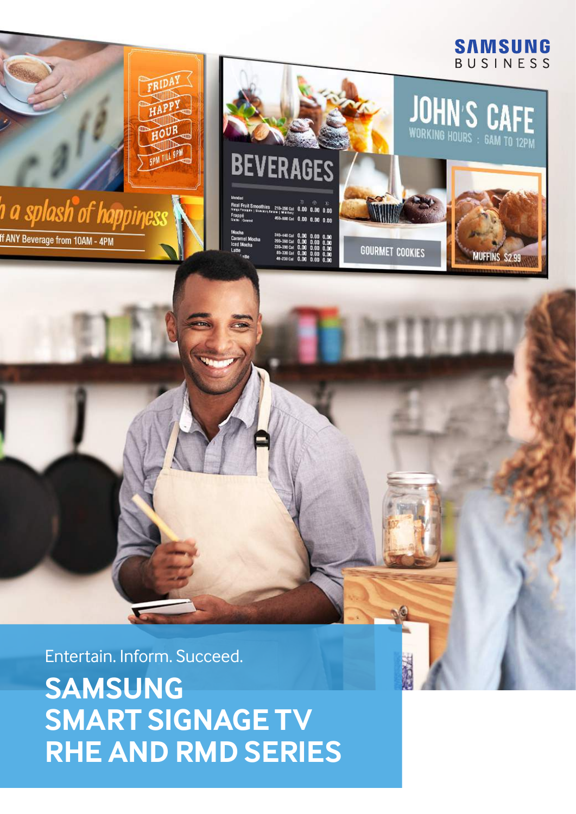## **SAMSUNG** BUSINESS

MUFFINS \$2.99

**JOHN'S CAFE** 



**If ANY Beverage from 10AM - 4PM** 

**BEVERAGES** 

| "TEXTRAPH   SOM KIT FREE   MILES" 0.00 0.00 0.0<br>Frappé |                           |  |  |
|-----------------------------------------------------------|---------------------------|--|--|
| <b>Inches Convent</b>                                     | 450-580 Cat 0.00 0.00 0.0 |  |  |
| Aocha                                                     | 240-440 Cal 0.00 0.00 0.0 |  |  |
| Caramel Mocha                                             | 200-380 Cal 0.00 0.00 0.0 |  |  |
| ced Mocha                                                 | 230-390 Cal 0.00 0.00 0.0 |  |  |
| atte                                                      | 80-330 Cal 0.00 0.00 0.0  |  |  |
|                                                           | <b>BRIDGE AT A BRIDGE</b> |  |  |

**GOURMET COOKIES** 

Entertain. Inform. Succeed.

**SAMSUNG SMART SIGNAGE TV RHE AND RMD SERIES**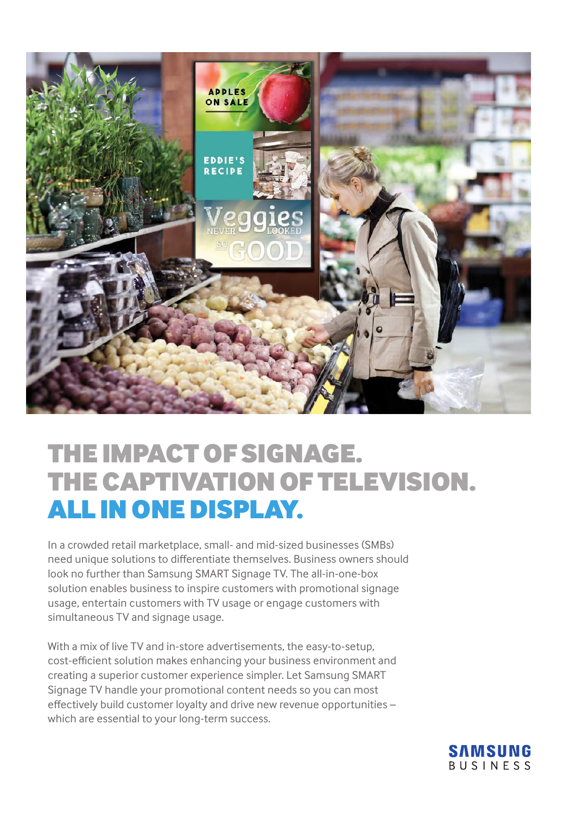

# The Impact of Signage. The Captivation of Television. All in One Display.

In a crowded retail marketplace, small- and mid-sized businesses (SMBs) need unique solutions to differentiate themselves. Business owners should look no further than Samsung SMART Signage TV. The all-in-one-box solution enables business to inspire customers with promotional signage usage, entertain customers with TV usage or engage customers with simultaneous TV and signage usage.

With a mix of live TV and in-store advertisements, the easy-to-setup, cost-efficient solution makes enhancing your business environment and creating a superior customer experience simpler. Let Samsung SMART Signage TV handle your promotional content needs so you can most effectively build customer loyalty and drive new revenue opportunities – which are essential to your long-term success.

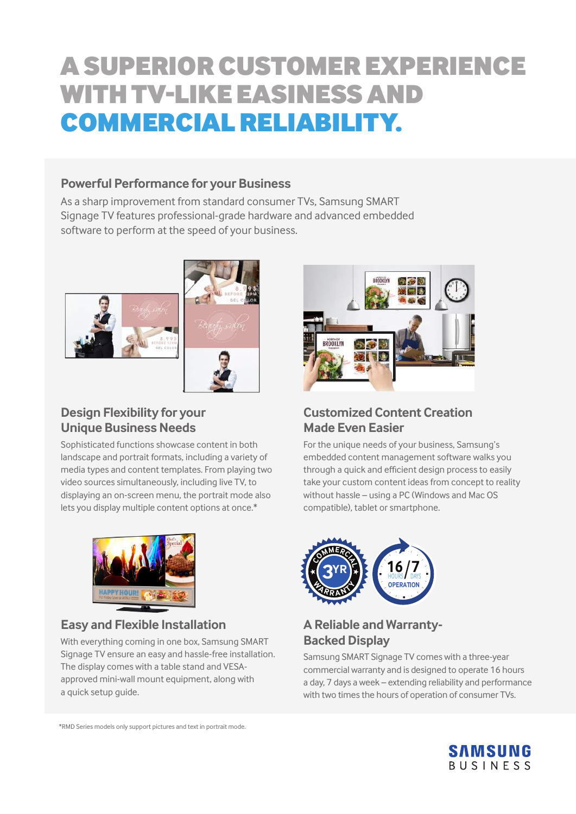# A Superior Customer Experience with TV-Like Easiness and Commercial Reliability.

## **Powerful Performance for your Business**

As a sharp improvement from standard consumer TVs, Samsung SMART Signage TV features professional-grade hardware and advanced embedded software to perform at the speed of your business.



## **Design Flexibility for your Unique Business Needs**

Sophisticated functions showcase content in both landscape and portrait formats, including a variety of media types and content templates. From playing two video sources simultaneously, including live TV, to displaying an on-screen menu, the portrait mode also lets you display multiple content options at once.\*



## **Easy and Flexible Installation**

With everything coming in one box, Samsung SMART Signage TV ensure an easy and hassle-free installation. The display comes with a table stand and VESAapproved mini-wall mount equipment, along with a quick setup guide.



## **Customized Content Creation Made Even Easier**

For the unique needs of your business, Samsung's embedded content management software walks you through a quick and efficient design process to easily take your custom content ideas from concept to reality without hassle – using a PC (Windows and Mac OS compatible), tablet or smartphone.



## **A Reliable and Warranty-Backed Display**

Samsung SMART Signage TV comes with a three-year commercial warranty and is designed to operate 16 hours a day, 7 days a week – extending reliability and performance with two times the hours of operation of consumer TVs.



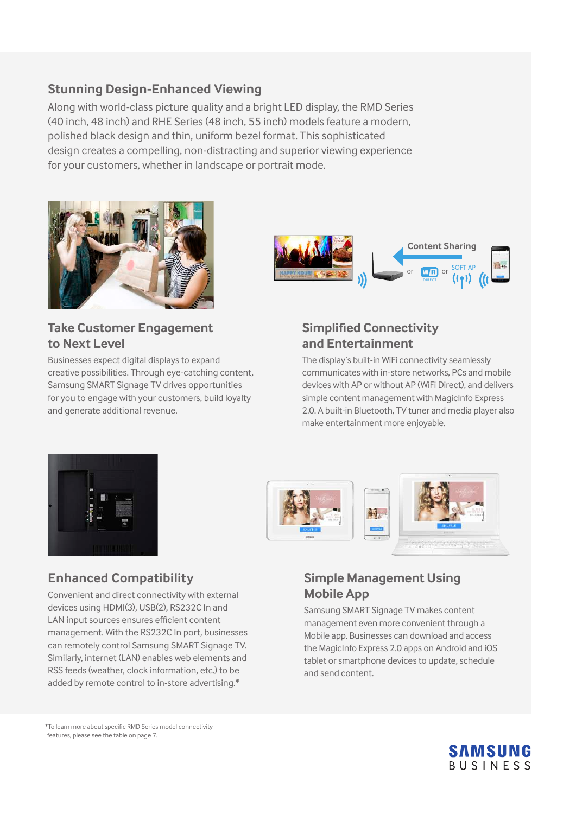## **Stunning Design-Enhanced Viewing**

Along with world-class picture quality and a bright LED display, the RMD Series (40 inch, 48 inch) and RHE Series (48 inch, 55 inch) models feature a modern, polished black design and thin, uniform bezel format. This sophisticated design creates a compelling, non-distracting and superior viewing experience for your customers, whether in landscape or portrait mode.



## **Take Customer Engagement to Next Level**

Businesses expect digital displays to expand creative possibilities. Through eye-catching content, Samsung SMART Signage TV drives opportunities for you to engage with your customers, build loyalty and generate additional revenue.



## **Simplified Connectivity and Entertainment**

The display's built-in WiFi connectivity seamlessly communicates with in-store networks, PCs and mobile devices with AP or without AP (WiFi Direct), and delivers simple content management with MagicInfo Express 2.0. A built-in Bluetooth, TV tuner and media player also make entertainment more enjoyable.





## **Enhanced Compatibility**

Convenient and direct connectivity with external devices using HDMI(3), USB(2), RS232C In and LAN input sources ensures efficient content management. With the RS232C In port, businesses can remotely control Samsung SMART Signage TV. Similarly, internet (LAN) enables web elements and RSS feeds (weather, clock information, etc.) to be added by remote control to in-store advertising.\*

## **Simple Management Using Mobile App**

Samsung SMART Signage TV makes content management even more convenient through a Mobile app. Businesses can download and access the MagicInfo Express 2.0 apps on Android and iOS tablet or smartphone devices to update, schedule and send content.

\*To learn more about specific RMD Series model connectivity features, please see the table on page 7.

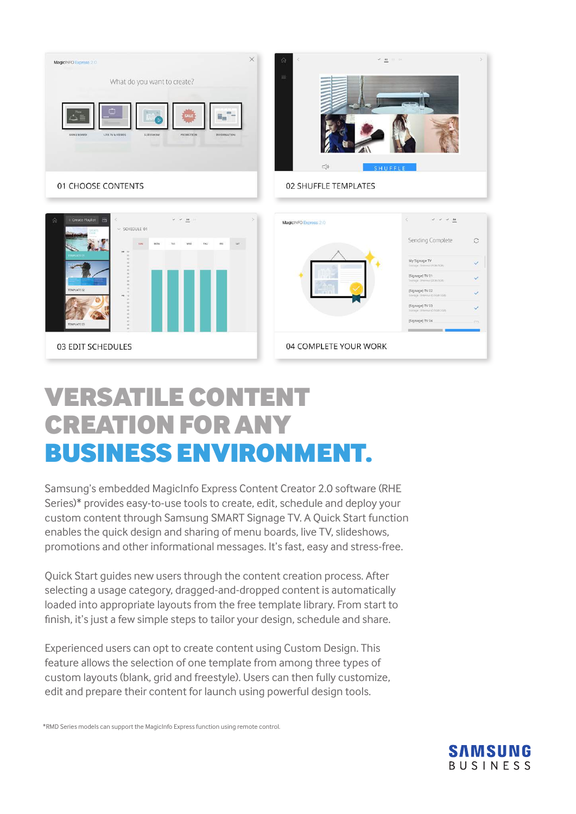

# Versatile Content Creation for Any Business Environment.

03 EDIT SCHEDULES

Samsung's embedded MagicInfo Express Content Creator 2.0 software (RHE Series)\* provides easy-to-use tools to create, edit, schedule and deploy your custom content through Samsung SMART Signage TV. A Quick Start function enables the quick design and sharing of menu boards, live TV, slideshows, promotions and other informational messages. It's fast, easy and stress-free.

Quick Start guides new users through the content creation process. After selecting a usage category, dragged-and-dropped content is automatically loaded into appropriate layouts from the free template library. From start to finish, it's just a few simple steps to tailor your design, schedule and share.

Experienced users can opt to create content using Custom Design. This feature allows the selection of one template from among three types of custom layouts (blank, grid and freestyle). Users can then fully customize, edit and prepare their content for launch using powerful design tools.



(Signage) TV 0) [Signage] TV 03 [Signage] TV 04

04 COMPLETE YOUR WORK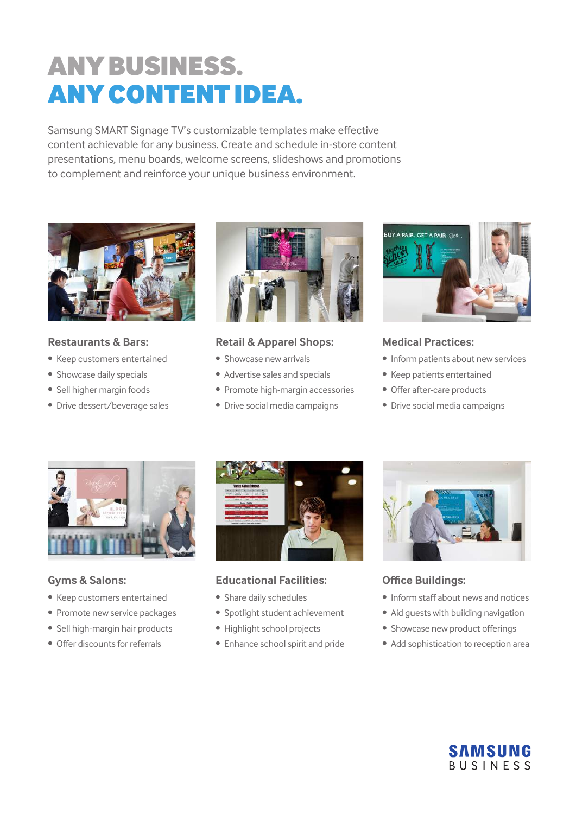# Any Business. Any Content Idea.

Samsung SMART Signage TV's customizable templates make effective content achievable for any business. Create and schedule in-store content presentations, menu boards, welcome screens, slideshows and promotions to complement and reinforce your unique business environment.



#### **Restaurants & Bars:**

- Keep customers entertained
- Showcase daily specials
- Sell higher margin foods
- Drive dessert/beverage sales



### **Retail & Apparel Shops:**

- Showcase new arrivals
- Advertise sales and specials
- Promote high-margin accessories
- Drive social media campaigns



### **Medical Practices:**

- Inform patients about new services
- Keep patients entertained
- Offer after-care products
- Drive social media campaigns



### **Gyms & Salons:**

- Keep customers entertained
- Promote new service packages
- Sell high-margin hair products
- Offer discounts for referrals



### **Educational Facilities:**

- Share daily schedules
- Spotlight student achievement
- Highlight school projects
- Enhance school spirit and pride



### **Office Buildings:**

- Inform staff about news and notices
- Aid guests with building navigation
- Showcase new product offerings
- Add sophistication to reception area

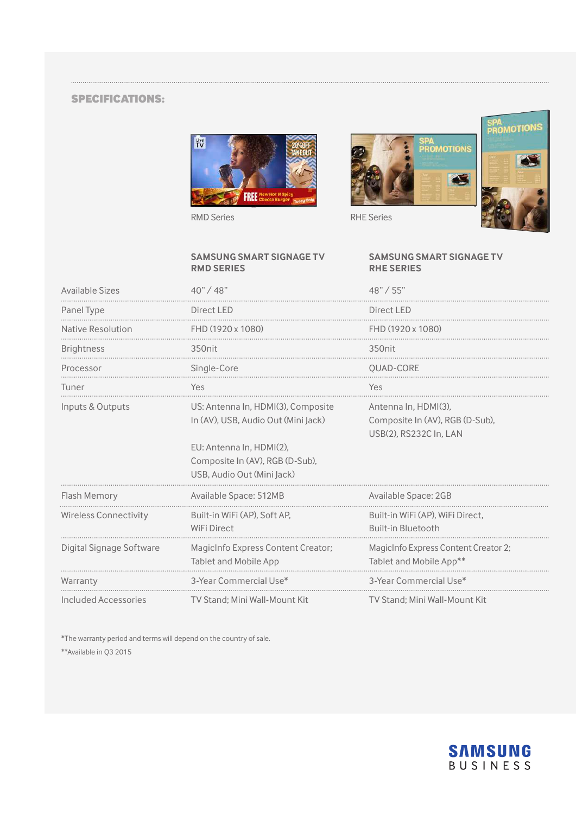#### specifications:







#### **SAMSUNG SMART SIGNAGE TV RMD SERIES**

#### **SAMSUNG SMART SIGNAGE TV RHE SERIES**

| Available Sizes              | 40''/48''                                                                                                                                                              | 48" / 55"                                                                         |
|------------------------------|------------------------------------------------------------------------------------------------------------------------------------------------------------------------|-----------------------------------------------------------------------------------|
| Panel Type                   | Direct LED                                                                                                                                                             | Direct LED                                                                        |
| Native Resolution            | FHD (1920 x 1080)                                                                                                                                                      | FHD (1920 x 1080)                                                                 |
| <b>Brightness</b>            | 350 <sub>nit</sub>                                                                                                                                                     | 350 <sub>nit</sub>                                                                |
| Processor                    | Single-Core                                                                                                                                                            | OUAD-CORE                                                                         |
| Tuner                        | Yes                                                                                                                                                                    | Yes                                                                               |
| Inputs & Outputs             | US: Antenna In, HDMI(3), Composite<br>In (AV), USB, Audio Out (Mini Jack)<br>EU: Antenna In. HDMI(2).<br>Composite In (AV), RGB (D-Sub),<br>USB. Audio Out (Mini Jack) | Antenna In. HDMI(3).<br>Composite In (AV), RGB (D-Sub),<br>USB(2), RS232C In, LAN |
| Flash Memory                 | Available Space: 512MB                                                                                                                                                 | Available Space: 2GB                                                              |
| <b>Wireless Connectivity</b> | Built-in WiFi (AP), Soft AP,<br><b>WiFi Direct</b>                                                                                                                     | Built-in WiFi (AP), WiFi Direct,<br><b>Built-in Bluetooth</b>                     |
| Digital Signage Software     | MagicInfo Express Content Creator;<br><b>Tablet and Mobile App</b>                                                                                                     | MagicInfo Express Content Creator 2;<br>Tablet and Mobile App**                   |
| Warranty                     | 3-Year Commercial Use*                                                                                                                                                 | 3-Year Commercial Use*                                                            |
| Included Accessories         | TV Stand: Mini Wall-Mount Kit                                                                                                                                          | TV Stand: Mini Wall-Mount Kit                                                     |

\*The warranty period and terms will depend on the country of sale.

\*\*Available in Q3 2015